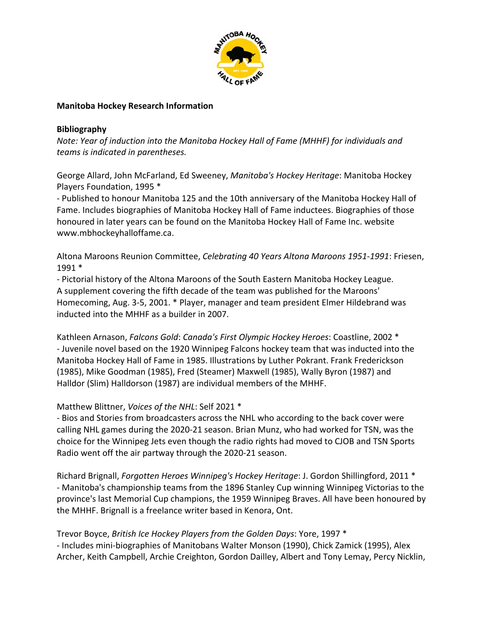

#### **Manitoba Hockey Research Information**

#### **Bibliography**

*Note: Year of induction into the Manitoba Hockey Hall of Fame (MHHF) for individuals and teams is indicated in parentheses.*

George Allard, John McFarland, Ed Sweeney, *Manitoba's Hockey Heritage*: Manitoba Hockey Players Foundation, 1995 \*

‐ Published to honour Manitoba 125 and the 10th anniversary of the Manitoba Hockey Hall of Fame. Includes biographies of Manitoba Hockey Hall of Fame inductees. Biographies of those honoured in later years can be found on the Manitoba Hockey Hall of Fame Inc. website www.mbhockeyhalloffame.ca.

Altona Maroons Reunion Committee, *Celebrating 40 Years Altona Maroons 1951‐1991*: Friesen, 1991 \*

‐ Pictorial history of the Altona Maroons of the South Eastern Manitoba Hockey League. A supplement covering the fifth decade of the team was published for the Maroons' Homecoming, Aug. 3‐5, 2001. \* Player, manager and team president Elmer Hildebrand was inducted into the MHHF as a builder in 2007.

Kathleen Arnason, *Falcons Gold*: *Canada's First Olympic Hockey Heroes*: Coastline, 2002 \* ‐ Juvenile novel based on the 1920 Winnipeg Falcons hockey team that was inducted into the Manitoba Hockey Hall of Fame in 1985. Illustrations by Luther Pokrant. Frank Frederickson (1985), Mike Goodman (1985), Fred (Steamer) Maxwell (1985), Wally Byron (1987) and Halldor (Slim) Halldorson (1987) are individual members of the MHHF.

### Matthew Blittner, *Voices of the NHL*: Self 2021 \*

‐ Bios and Stories from broadcasters across the NHL who according to the back cover were calling NHL games during the 2020‐21 season. Brian Munz, who had worked for TSN, was the choice for the Winnipeg Jets even though the radio rights had moved to CJOB and TSN Sports Radio went off the air partway through the 2020‐21 season.

Richard Brignall, *Forgotten Heroes Winnipeg's Hockey Heritage*: J. Gordon Shillingford, 2011 \* ‐ Manitoba's championship teams from the 1896 Stanley Cup winning Winnipeg Victorias to the province's last Memorial Cup champions, the 1959 Winnipeg Braves. All have been honoured by the MHHF. Brignall is a freelance writer based in Kenora, Ont.

Trevor Boyce, *British Ice Hockey Players from the Golden Days*: Yore, 1997 \* ‐ Includes mini‐biographies of Manitobans Walter Monson (1990), Chick Zamick (1995), Alex Archer, Keith Campbell, Archie Creighton, Gordon Dailley, Albert and Tony Lemay, Percy Nicklin,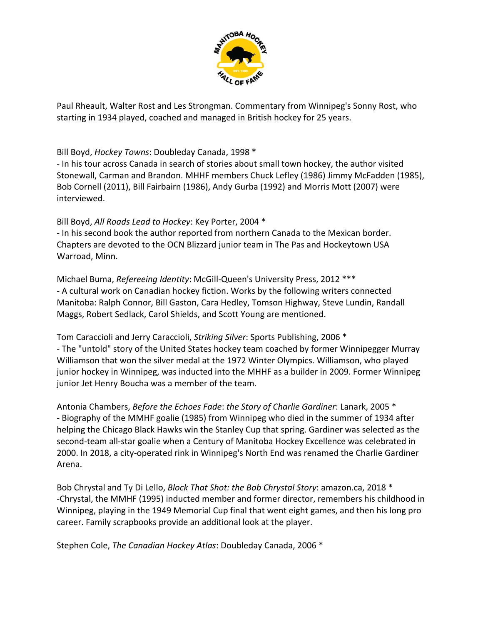

Paul Rheault, Walter Rost and Les Strongman. Commentary from Winnipeg's Sonny Rost, who starting in 1934 played, coached and managed in British hockey for 25 years.

Bill Boyd, *Hockey Towns*: Doubleday Canada, 1998 \*

‐ In his tour across Canada in search of stories about small town hockey, the author visited Stonewall, Carman and Brandon. MHHF members Chuck Lefley (1986) Jimmy McFadden (1985), Bob Cornell (2011), Bill Fairbairn (1986), Andy Gurba (1992) and Morris Mott (2007) were interviewed.

Bill Boyd, *All Roads Lead to Hockey*: Key Porter, 2004 \*

‐ In his second book the author reported from northern Canada to the Mexican border. Chapters are devoted to the OCN Blizzard junior team in The Pas and Hockeytown USA Warroad, Minn.

Michael Buma, *Refereeing Identity*: McGill‐Queen's University Press, 2012 \*\*\* ‐ A cultural work on Canadian hockey fiction. Works by the following writers connected Manitoba: Ralph Connor, Bill Gaston, Cara Hedley, Tomson Highway, Steve Lundin, Randall Maggs, Robert Sedlack, Carol Shields, and Scott Young are mentioned.

Tom Caraccioli and Jerry Caraccioli, *Striking Silver*: Sports Publishing, 2006 \* ‐ The "untold" story of the United States hockey team coached by former Winnipegger Murray Williamson that won the silver medal at the 1972 Winter Olympics. Williamson, who played junior hockey in Winnipeg, was inducted into the MHHF as a builder in 2009. Former Winnipeg junior Jet Henry Boucha was a member of the team.

Antonia Chambers, *Before the Echoes Fade*: *the Story of Charlie Gardiner*: Lanark, 2005 \* ‐ Biography of the MMHF goalie (1985) from Winnipeg who died in the summer of 1934 after helping the Chicago Black Hawks win the Stanley Cup that spring. Gardiner was selected as the second‐team all‐star goalie when a Century of Manitoba Hockey Excellence was celebrated in 2000. In 2018, a city‐operated rink in Winnipeg's North End was renamed the Charlie Gardiner Arena.

Bob Chrystal and Ty Di Lello, *Block That Shot: the Bob Chrystal Story*: amazon.ca, 2018 \* ‐Chrystal, the MMHF (1995) inducted member and former director, remembers his childhood in Winnipeg, playing in the 1949 Memorial Cup final that went eight games, and then his long pro career. Family scrapbooks provide an additional look at the player.

Stephen Cole, *The Canadian Hockey Atlas*: Doubleday Canada, 2006 \*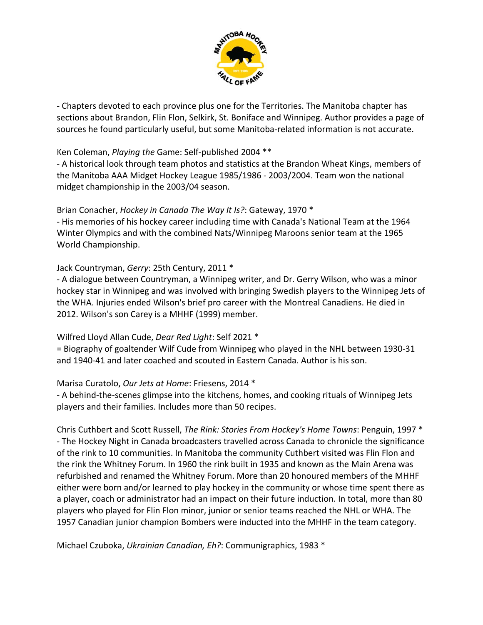

‐ Chapters devoted to each province plus one for the Territories. The Manitoba chapter has sections about Brandon, Flin Flon, Selkirk, St. Boniface and Winnipeg. Author provides a page of sources he found particularly useful, but some Manitoba‐related information is not accurate.

### Ken Coleman, *Playing the* Game: Self‐published 2004 \*\*

‐ A historical look through team photos and statistics at the Brandon Wheat Kings, members of the Manitoba AAA Midget Hockey League 1985/1986 ‐ 2003/2004. Team won the national midget championship in the 2003/04 season.

#### Brian Conacher, *Hockey in Canada The Way It Is?*: Gateway, 1970 \*

‐ His memories of his hockey career including time with Canada's National Team at the 1964 Winter Olympics and with the combined Nats/Winnipeg Maroons senior team at the 1965 World Championship.

#### Jack Countryman, *Gerry*: 25th Century, 2011 \*

‐ A dialogue between Countryman, a Winnipeg writer, and Dr. Gerry Wilson, who was a minor hockey star in Winnipeg and was involved with bringing Swedish players to the Winnipeg Jets of the WHA. Injuries ended Wilson's brief pro career with the Montreal Canadiens. He died in 2012. Wilson's son Carey is a MHHF (1999) member.

### Wilfred Lloyd Allan Cude, *Dear Red Light*: Self 2021 \*

= Biography of goaltender Wilf Cude from Winnipeg who played in the NHL between 1930‐31 and 1940‐41 and later coached and scouted in Eastern Canada. Author is his son.

### Marisa Curatolo, *Our Jets at Home*: Friesens, 2014 \*

‐ A behind‐the‐scenes glimpse into the kitchens, homes, and cooking rituals of Winnipeg Jets players and their families. Includes more than 50 recipes.

Chris Cuthbert and Scott Russell, *The Rink: Stories From Hockey's Home Towns*: Penguin, 1997 \* ‐ The Hockey Night in Canada broadcasters travelled across Canada to chronicle the significance of the rink to 10 communities. In Manitoba the community Cuthbert visited was Flin Flon and the rink the Whitney Forum. In 1960 the rink built in 1935 and known as the Main Arena was refurbished and renamed the Whitney Forum. More than 20 honoured members of the MHHF either were born and/or learned to play hockey in the community or whose time spent there as a player, coach or administrator had an impact on their future induction. In total, more than 80 players who played for Flin Flon minor, junior or senior teams reached the NHL or WHA. The 1957 Canadian junior champion Bombers were inducted into the MHHF in the team category.

Michael Czuboka, *Ukrainian Canadian, Eh?*: Communigraphics, 1983 \*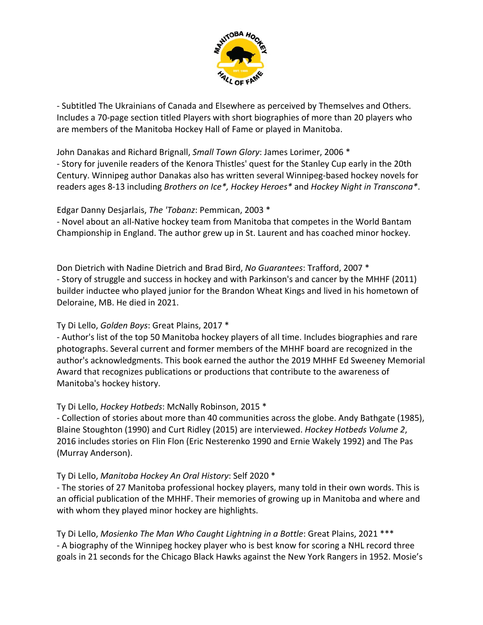

‐ Subtitled The Ukrainians of Canada and Elsewhere as perceived by Themselves and Others. Includes a 70‐page section titled Players with short biographies of more than 20 players who are members of the Manitoba Hockey Hall of Fame or played in Manitoba.

#### John Danakas and Richard Brignall, *Small Town Glory*: James Lorimer, 2006 \*

‐ Story for juvenile readers of the Kenora Thistles' quest for the Stanley Cup early in the 20th Century. Winnipeg author Danakas also has written several Winnipeg‐based hockey novels for readers ages 8‐13 including *Brothers on Ice\*, Hockey Heroes\** and *Hockey Night in Transcona\**.

## Edgar Danny Desjarlais, *The 'Tobanz*: Pemmican, 2003 \*

‐ Novel about an all‐Native hockey team from Manitoba that competes in the World Bantam Championship in England. The author grew up in St. Laurent and has coached minor hockey.

Don Dietrich with Nadine Dietrich and Brad Bird, *No Guarantees*: Trafford, 2007 \* ‐ Story of struggle and success in hockey and with Parkinson's and cancer by the MHHF (2011) builder inductee who played junior for the Brandon Wheat Kings and lived in his hometown of Deloraine, MB. He died in 2021.

# Ty Di Lello, *Golden Boys*: Great Plains, 2017 \*

‐ Author's list of the top 50 Manitoba hockey players of all time. Includes biographies and rare photographs. Several current and former members of the MHHF board are recognized in the author's acknowledgments. This book earned the author the 2019 MHHF Ed Sweeney Memorial Award that recognizes publications or productions that contribute to the awareness of Manitoba's hockey history.

# Ty Di Lello, *Hockey Hotbeds*: McNally Robinson, 2015 \*

‐ Collection of stories about more than 40 communities across the globe. Andy Bathgate (1985), Blaine Stoughton (1990) and Curt Ridley (2015) are interviewed. *Hockey Hotbeds Volume 2*, 2016 includes stories on Flin Flon (Eric Nesterenko 1990 and Ernie Wakely 1992) and The Pas (Murray Anderson).

# Ty Di Lello, *Manitoba Hockey An Oral History*: Self 2020 \*

‐ The stories of 27 Manitoba professional hockey players, many told in their own words. This is an official publication of the MHHF. Their memories of growing up in Manitoba and where and with whom they played minor hockey are highlights.

Ty Di Lello, *Mosienko The Man Who Caught Lightning in a Bottle*: Great Plains, 2021 \*\*\* ‐ A biography of the Winnipeg hockey player who is best know for scoring a NHL record three goals in 21 seconds for the Chicago Black Hawks against the New York Rangers in 1952. Mosie's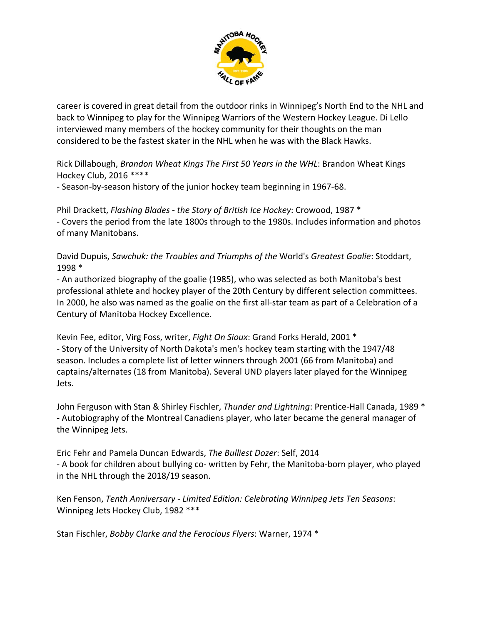

career is covered in great detail from the outdoor rinks in Winnipeg's North End to the NHL and back to Winnipeg to play for the Winnipeg Warriors of the Western Hockey League. Di Lello interviewed many members of the hockey community for their thoughts on the man considered to be the fastest skater in the NHL when he was with the Black Hawks.

Rick Dillabough, *Brandon Wheat Kings The First 50 Years in the WHL*: Brandon Wheat Kings Hockey Club, 2016 \*\*\*\*

‐ Season‐by‐season history of the junior hockey team beginning in 1967‐68.

Phil Drackett, *Flashing Blades ‐ the Story of British Ice Hockey*: Crowood, 1987 \* ‐ Covers the period from the late 1800s through to the 1980s. Includes information and photos of many Manitobans.

David Dupuis, *Sawchuk: the Troubles and Triumphs of the* World's *Greatest Goalie*: Stoddart, 1998 \*

‐ An authorized biography of the goalie (1985), who was selected as both Manitoba's best professional athlete and hockey player of the 20th Century by different selection committees. In 2000, he also was named as the goalie on the first all‐star team as part of a Celebration of a Century of Manitoba Hockey Excellence.

Kevin Fee, editor, Virg Foss, writer, *Fight On Sioux*: Grand Forks Herald, 2001 \* ‐ Story of the University of North Dakota's men's hockey team starting with the 1947/48 season. Includes a complete list of letter winners through 2001 (66 from Manitoba) and captains/alternates (18 from Manitoba). Several UND players later played for the Winnipeg Jets.

John Ferguson with Stan & Shirley Fischler, *Thunder and Lightning*: Prentice‐Hall Canada, 1989 \* ‐ Autobiography of the Montreal Canadiens player, who later became the general manager of the Winnipeg Jets.

Eric Fehr and Pamela Duncan Edwards, *The Bulliest Dozer*: Self, 2014 ‐ A book for children about bullying co‐ written by Fehr, the Manitoba‐born player, who played in the NHL through the 2018/19 season.

Ken Fenson, *Tenth Anniversary ‐ Limited Edition: Celebrating Winnipeg Jets Ten Seasons*: Winnipeg Jets Hockey Club, 1982 \*\*\*

Stan Fischler, *Bobby Clarke and the Ferocious Flyers*: Warner, 1974 \*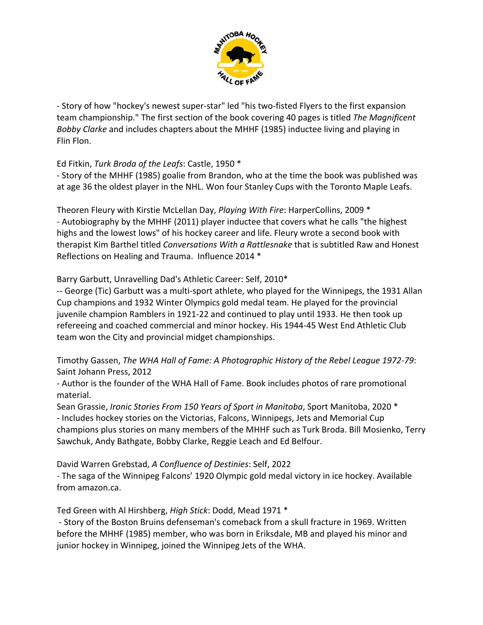

‐ Story of how "hockey's newest super‐star" led "his two‐fisted Flyers to the first expansion team championship." The first section of the book covering 40 pages is titled *The Magnificent Bobby Clarke* and includes chapters about the MHHF (1985) inductee living and playing in Flin Flon.

Ed Fitkin, *Turk Broda of the Leafs*: Castle, 1950 \*

‐ Story of the MHHF (1985) goalie from Brandon, who at the time the book was published was at age 36 the oldest player in the NHL. Won four Stanley Cups with the Toronto Maple Leafs.

Theoren Fleury with Kirstie McLellan Day, *Playing With Fire*: HarperCollins, 2009 \* ‐ Autobiography by the MHHF (2011) player inductee that covers what he calls "the highest highs and the lowest lows" of his hockey career and life. Fleury wrote a second book with therapist Kim Barthel titled *Conversations With a Rattlesnake* that is subtitled Raw and Honest Reflections on Healing and Trauma. Influence 2014 \*

Barry Garbutt, Unravelling Dad's Athletic Career: Self, 2010\*

‐‐ George (Tic) Garbutt was a multi‐sport athlete, who played for the Winnipegs, the 1931 Allan Cup champions and 1932 Winter Olympics gold medal team. He played for the provincial juvenile champion Ramblers in 1921‐22 and continued to play until 1933. He then took up refereeing and coached commercial and minor hockey. His 1944‐45 West End Athletic Club team won the City and provincial midget championships.

Timothy Gassen, *The WHA Hall of Fame: A Photographic History of the Rebel League 1972‐79*: Saint Johann Press, 2012

‐ Author is the founder of the WHA Hall of Fame. Book includes photos of rare promotional material.

Sean Grassie, *Ironic Stories From 150 Years of Sport in Manitoba*, Sport Manitoba, 2020 \* ‐ Includes hockey stories on the Victorias, Falcons, Winnipegs, Jets and Memorial Cup champions plus stories on many members of the MHHF such as Turk Broda. Bill Mosienko, Terry Sawchuk, Andy Bathgate, Bobby Clarke, Reggie Leach and Ed Belfour.

David Warren Grebstad, *A Confluence of Destinies*: Self, 2022

‐ The saga of the Winnipeg Falcons' 1920 Olympic gold medal victory in ice hockey. Available from amazon.ca.

Ted Green with Al Hirshberg, *High Stick*: Dodd, Mead 1971 \*

‐ Story of the Boston Bruins defenseman's comeback from a skull fracture in 1969. Written before the MHHF (1985) member, who was born in Eriksdale, MB and played his minor and junior hockey in Winnipeg, joined the Winnipeg Jets of the WHA.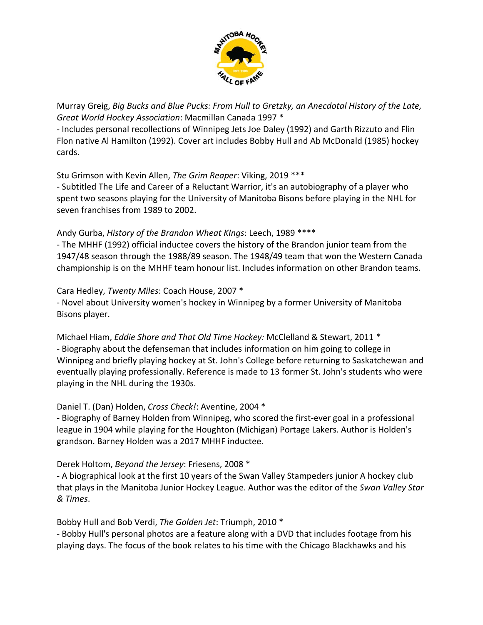

Murray Greig, *Big Bucks and Blue Pucks: From Hull to Gretzky, an Anecdotal History of the Late, Great World Hockey Association*: Macmillan Canada 1997 \*

‐ Includes personal recollections of Winnipeg Jets Joe Daley (1992) and Garth Rizzuto and Flin Flon native Al Hamilton (1992). Cover art includes Bobby Hull and Ab McDonald (1985) hockey cards.

Stu Grimson with Kevin Allen, *The Grim Reaper*: Viking, 2019 \*\*\*

‐ Subtitled The Life and Career of a Reluctant Warrior, it's an autobiography of a player who spent two seasons playing for the University of Manitoba Bisons before playing in the NHL for seven franchises from 1989 to 2002.

## Andy Gurba, *History of the Brandon Wheat KIngs*: Leech, 1989 \*\*\*\*

‐ The MHHF (1992) official inductee covers the history of the Brandon junior team from the 1947/48 season through the 1988/89 season. The 1948/49 team that won the Western Canada championship is on the MHHF team honour list. Includes information on other Brandon teams.

Cara Hedley, *Twenty Miles*: Coach House, 2007 \* ‐ Novel about University women's hockey in Winnipeg by a former University of Manitoba Bisons player.

Michael Hiam, *Eddie Shore and That Old Time Hockey:* McClelland & Stewart, 2011 *\** ‐ Biography about the defenseman that includes information on him going to college in Winnipeg and briefly playing hockey at St. John's College before returning to Saskatchewan and eventually playing professionally. Reference is made to 13 former St. John's students who were playing in the NHL during the 1930s.

# Daniel T. (Dan) Holden, *Cross Check!*: Aventine, 2004 \*

‐ Biography of Barney Holden from Winnipeg, who scored the first‐ever goal in a professional league in 1904 while playing for the Houghton (Michigan) Portage Lakers. Author is Holden's grandson. Barney Holden was a 2017 MHHF inductee.

### Derek Holtom, *Beyond the Jersey*: Friesens, 2008 \*

‐ A biographical look at the first 10 years of the Swan Valley Stampeders junior A hockey club that plays in the Manitoba Junior Hockey League. Author was the editor of the *Swan Valley Star & Times*.

Bobby Hull and Bob Verdi, *The Golden Jet*: Triumph, 2010 \*

‐ Bobby Hull's personal photos are a feature along with a DVD that includes footage from his playing days. The focus of the book relates to his time with the Chicago Blackhawks and his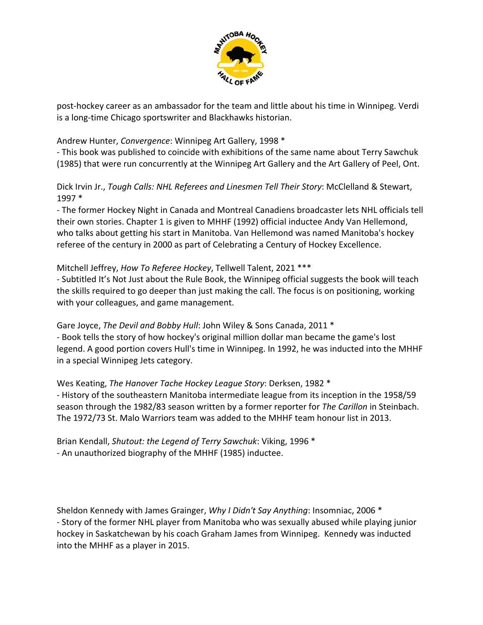

post‐hockey career as an ambassador for the team and little about his time in Winnipeg. Verdi is a long‐time Chicago sportswriter and Blackhawks historian.

Andrew Hunter, *Convergence*: Winnipeg Art Gallery, 1998 \*

‐ This book was published to coincide with exhibitions of the same name about Terry Sawchuk (1985) that were run concurrently at the Winnipeg Art Gallery and the Art Gallery of Peel, Ont.

Dick Irvin Jr., *Tough Calls: NHL Referees and Linesmen Tell Their Story*: McClelland & Stewart, 1997 \*

‐ The former Hockey Night in Canada and Montreal Canadiens broadcaster lets NHL officials tell their own stories. Chapter 1 is given to MHHF (1992) official inductee Andy Van Hellemond, who talks about getting his start in Manitoba. Van Hellemond was named Manitoba's hockey referee of the century in 2000 as part of Celebrating a Century of Hockey Excellence.

# Mitchell Jeffrey, *How To Referee Hockey*, Tellwell Talent, 2021 \*\*\*

‐ Subtitled It's Not Just about the Rule Book, the Winnipeg official suggests the book will teach the skills required to go deeper than just making the call. The focus is on positioning, working with your colleagues, and game management.

Gare Joyce, *The Devil and Bobby Hull*: John Wiley & Sons Canada, 2011 \* ‐ Book tells the story of how hockey's original million dollar man became the game's lost legend. A good portion covers Hull's time in Winnipeg. In 1992, he was inducted into the MHHF in a special Winnipeg Jets category.

Wes Keating, *The Hanover Tache Hockey League Story*: Derksen, 1982 \* ‐ History of the southeastern Manitoba intermediate league from its inception in the 1958/59 season through the 1982/83 season written by a former reporter for *The Carillon* in Steinbach. The 1972/73 St. Malo Warriors team was added to the MHHF team honour list in 2013.

Brian Kendall, *Shutout: the Legend of Terry Sawchuk*: Viking, 1996 \* ‐ An unauthorized biography of the MHHF (1985) inductee.

Sheldon Kennedy with James Grainger, *Why I Didn't Say Anything*: Insomniac, 2006 \* ‐ Story of the former NHL player from Manitoba who was sexually abused while playing junior hockey in Saskatchewan by his coach Graham James from Winnipeg. Kennedy was inducted into the MHHF as a player in 2015.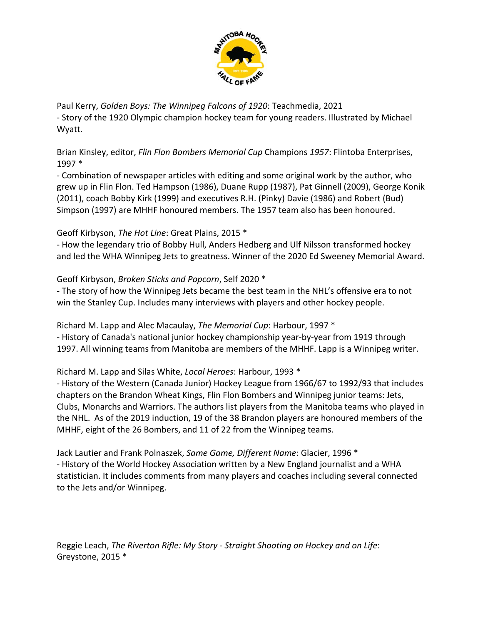

Paul Kerry, *Golden Boys: The Winnipeg Falcons of 1920*: Teachmedia, 2021 ‐ Story of the 1920 Olympic champion hockey team for young readers. Illustrated by Michael Wyatt.

Brian Kinsley, editor, *Flin Flon Bombers Memorial Cup* Champions *1957*: Flintoba Enterprises, 1997 \*

‐ Combination of newspaper articles with editing and some original work by the author, who grew up in Flin Flon. Ted Hampson (1986), Duane Rupp (1987), Pat Ginnell (2009), George Konik (2011), coach Bobby Kirk (1999) and executives R.H. (Pinky) Davie (1986) and Robert (Bud) Simpson (1997) are MHHF honoured members. The 1957 team also has been honoured.

# Geoff Kirbyson, *The Hot Line*: Great Plains, 2015 \*

‐ How the legendary trio of Bobby Hull, Anders Hedberg and Ulf Nilsson transformed hockey and led the WHA Winnipeg Jets to greatness. Winner of the 2020 Ed Sweeney Memorial Award.

Geoff Kirbyson, *Broken Sticks and Popcorn*, Self 2020 \*

‐ The story of how the Winnipeg Jets became the best team in the NHL's offensive era to not win the Stanley Cup. Includes many interviews with players and other hockey people.

Richard M. Lapp and Alec Macaulay, *The Memorial Cup*: Harbour, 1997 \* ‐ History of Canada's national junior hockey championship year‐by‐year from 1919 through 1997. All winning teams from Manitoba are members of the MHHF. Lapp is a Winnipeg writer.

Richard M. Lapp and Silas White, *Local Heroes*: Harbour, 1993 \*

‐ History of the Western (Canada Junior) Hockey League from 1966/67 to 1992/93 that includes chapters on the Brandon Wheat Kings, Flin Flon Bombers and Winnipeg junior teams: Jets, Clubs, Monarchs and Warriors. The authors list players from the Manitoba teams who played in the NHL. As of the 2019 induction, 19 of the 38 Brandon players are honoured members of the MHHF, eight of the 26 Bombers, and 11 of 22 from the Winnipeg teams.

Jack Lautier and Frank Polnaszek, *Same Game, Different Name*: Glacier, 1996 \* ‐ History of the World Hockey Association written by a New England journalist and a WHA statistician. It includes comments from many players and coaches including several connected to the Jets and/or Winnipeg.

Reggie Leach, *The Riverton Rifle: My Story ‐ Straight Shooting on Hockey and on Life*: Greystone, 2015 \*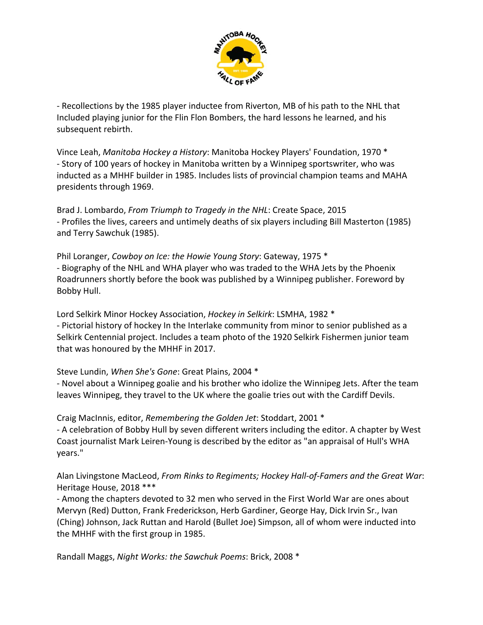

‐ Recollections by the 1985 player inductee from Riverton, MB of his path to the NHL that Included playing junior for the Flin Flon Bombers, the hard lessons he learned, and his subsequent rebirth.

Vince Leah, *Manitoba Hockey a History*: Manitoba Hockey Players' Foundation, 1970 \* ‐ Story of 100 years of hockey in Manitoba written by a Winnipeg sportswriter, who was inducted as a MHHF builder in 1985. Includes lists of provincial champion teams and MAHA presidents through 1969.

Brad J. Lombardo, *From Triumph to Tragedy in the NHL*: Create Space, 2015 ‐ Profiles the lives, careers and untimely deaths of six players including Bill Masterton (1985) and Terry Sawchuk (1985).

Phil Loranger, *Cowboy on Ice: the Howie Young Story*: Gateway, 1975 \* ‐ Biography of the NHL and WHA player who was traded to the WHA Jets by the Phoenix Roadrunners shortly before the book was published by a Winnipeg publisher. Foreword by Bobby Hull.

Lord Selkirk Minor Hockey Association, *Hockey in Selkirk*: LSMHA, 1982 \* ‐ Pictorial history of hockey In the Interlake community from minor to senior published as a Selkirk Centennial project. Includes a team photo of the 1920 Selkirk Fishermen junior team that was honoured by the MHHF in 2017.

Steve Lundin, *When She's Gone*: Great Plains, 2004 \*

‐ Novel about a Winnipeg goalie and his brother who idolize the Winnipeg Jets. After the team leaves Winnipeg, they travel to the UK where the goalie tries out with the Cardiff Devils.

Craig MacInnis, editor, *Remembering the Golden Jet*: Stoddart, 2001 \* ‐ A celebration of Bobby Hull by seven different writers including the editor. A chapter by West Coast journalist Mark Leiren‐Young is described by the editor as "an appraisal of Hull's WHA years."

Alan Livingstone MacLeod, *From Rinks to Regiments; Hockey Hall‐of‐Famers and the Great War*: Heritage House, 2018 \*\*\*

‐ Among the chapters devoted to 32 men who served in the First World War are ones about Mervyn (Red) Dutton, Frank Frederickson, Herb Gardiner, George Hay, Dick Irvin Sr., Ivan (Ching) Johnson, Jack Ruttan and Harold (Bullet Joe) Simpson, all of whom were inducted into the MHHF with the first group in 1985.

Randall Maggs, *Night Works: the Sawchuk Poems*: Brick, 2008 \*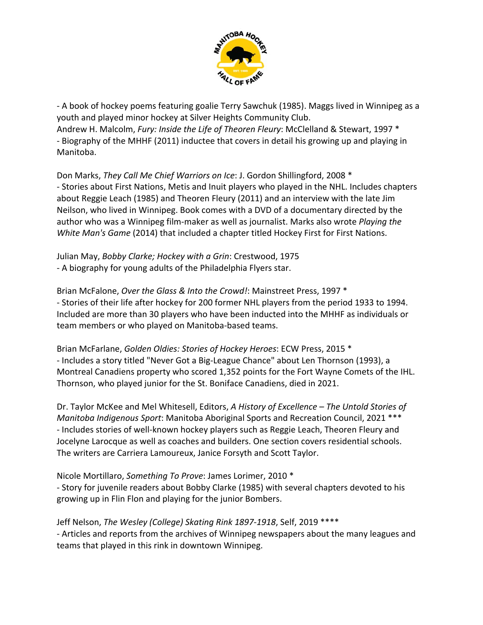

‐ A book of hockey poems featuring goalie Terry Sawchuk (1985). Maggs lived in Winnipeg as a youth and played minor hockey at Silver Heights Community Club. Andrew H. Malcolm, *Fury: Inside the Life of Theoren Fleury*: McClelland & Stewart, 1997 \* ‐ Biography of the MHHF (2011) inductee that covers in detail his growing up and playing in Manitoba.

Don Marks, *They Call Me Chief Warriors on Ice*: J. Gordon Shillingford, 2008 \* ‐ Stories about First Nations, Metis and Inuit players who played in the NHL. Includes chapters about Reggie Leach (1985) and Theoren Fleury (2011) and an interview with the late Jim Neilson, who lived in Winnipeg. Book comes with a DVD of a documentary directed by the author who was a Winnipeg film‐maker as well as journalist. Marks also wrote *Playing the White Man's Game* (2014) that included a chapter titled Hockey First for First Nations.

Julian May, *Bobby Clarke; Hockey with a Grin*: Crestwood, 1975 ‐ A biography for young adults of the Philadelphia Flyers star.

Brian McFalone, *Over the Glass & Into the Crowd!*: Mainstreet Press, 1997 \* ‐ Stories of their life after hockey for 200 former NHL players from the period 1933 to 1994. Included are more than 30 players who have been inducted into the MHHF as individuals or team members or who played on Manitoba‐based teams.

Brian McFarlane, *Golden Oldies: Stories of Hockey Heroes*: ECW Press, 2015 \* ‐ Includes a story titled "Never Got a Big‐League Chance" about Len Thornson (1993), a Montreal Canadiens property who scored 1,352 points for the Fort Wayne Comets of the IHL. Thornson, who played junior for the St. Boniface Canadiens, died in 2021.

Dr. Taylor McKee and Mel Whitesell, Editors, *A History of Excellence – The Untold Stories of Manitoba Indigenous Sport*: Manitoba Aboriginal Sports and Recreation Council, 2021 \*\*\* ‐ Includes stories of well‐known hockey players such as Reggie Leach, Theoren Fleury and Jocelyne Larocque as well as coaches and builders. One section covers residential schools. The writers are Carriera Lamoureux, Janice Forsyth and Scott Taylor.

Nicole Mortillaro, *Something To Prove*: James Lorimer, 2010 \*

‐ Story for juvenile readers about Bobby Clarke (1985) with several chapters devoted to his growing up in Flin Flon and playing for the junior Bombers.

Jeff Nelson, *The Wesley (College) Skating Rink 1897‐1918*, Self, 2019 \*\*\*\* ‐ Articles and reports from the archives of Winnipeg newspapers about the many leagues and teams that played in this rink in downtown Winnipeg.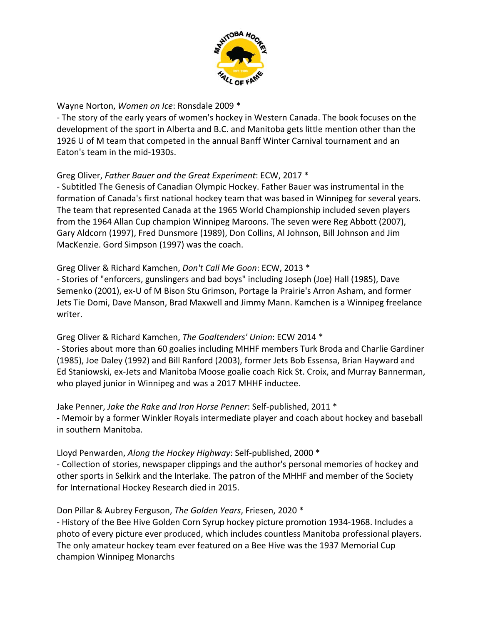

Wayne Norton, *Women on Ice*: Ronsdale 2009 \*

‐ The story of the early years of women's hockey in Western Canada. The book focuses on the development of the sport in Alberta and B.C. and Manitoba gets little mention other than the 1926 U of M team that competed in the annual Banff Winter Carnival tournament and an Eaton's team in the mid‐1930s.

## Greg Oliver, *Father Bauer and the Great Experiment*: ECW, 2017 \*

‐ Subtitled The Genesis of Canadian Olympic Hockey. Father Bauer was instrumental in the formation of Canada's first national hockey team that was based in Winnipeg for several years. The team that represented Canada at the 1965 World Championship included seven players from the 1964 Allan Cup champion Winnipeg Maroons. The seven were Reg Abbott (2007), Gary Aldcorn (1997), Fred Dunsmore (1989), Don Collins, Al Johnson, Bill Johnson and Jim MacKenzie. Gord Simpson (1997) was the coach.

### Greg Oliver & Richard Kamchen, *Don't Call Me Goon*: ECW, 2013 \*

‐ Stories of "enforcers, gunslingers and bad boys" including Joseph (Joe) Hall (1985), Dave Semenko (2001), ex‐U of M Bison Stu Grimson, Portage la Prairie's Arron Asham, and former Jets Tie Domi, Dave Manson, Brad Maxwell and Jimmy Mann. Kamchen is a Winnipeg freelance writer.

### Greg Oliver & Richard Kamchen, *The Goaltenders' Union*: ECW 2014 \*

‐ Stories about more than 60 goalies including MHHF members Turk Broda and Charlie Gardiner (1985), Joe Daley (1992) and Bill Ranford (2003), former Jets Bob Essensa, Brian Hayward and Ed Staniowski, ex‐Jets and Manitoba Moose goalie coach Rick St. Croix, and Murray Bannerman, who played junior in Winnipeg and was a 2017 MHHF inductee.

Jake Penner, *Jake the Rake and Iron Horse Penner*: Self‐published, 2011 \* ‐ Memoir by a former Winkler Royals intermediate player and coach about hockey and baseball in southern Manitoba.

### Lloyd Penwarden, *Along the Hockey Highway*: Self‐published, 2000 \*

‐ Collection of stories, newspaper clippings and the author's personal memories of hockey and other sports in Selkirk and the Interlake. The patron of the MHHF and member of the Society for International Hockey Research died in 2015.

### Don Pillar & Aubrey Ferguson, *The Golden Years*, Friesen, 2020 \*

‐ History of the Bee Hive Golden Corn Syrup hockey picture promotion 1934‐1968. Includes a photo of every picture ever produced, which includes countless Manitoba professional players. The only amateur hockey team ever featured on a Bee Hive was the 1937 Memorial Cup champion Winnipeg Monarchs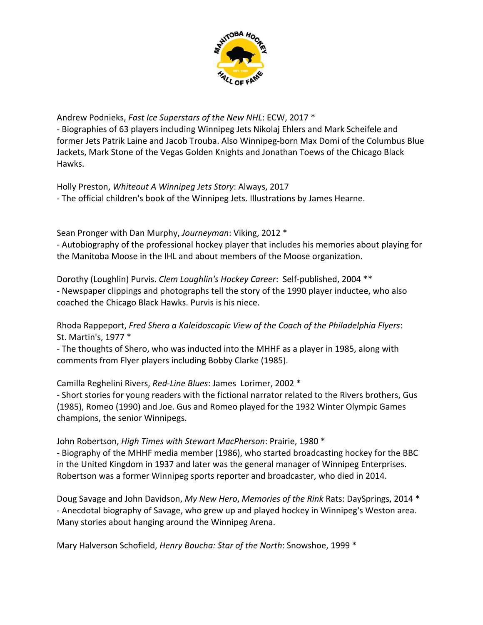

Andrew Podnieks, *Fast Ice Superstars of the New NHL*: ECW, 2017 \* ‐ Biographies of 63 players including Winnipeg Jets Nikolaj Ehlers and Mark Scheifele and former Jets Patrik Laine and Jacob Trouba. Also Winnipeg‐born Max Domi of the Columbus Blue Jackets, Mark Stone of the Vegas Golden Knights and Jonathan Toews of the Chicago Black

Holly Preston, *Whiteout A Winnipeg Jets Story*: Always, 2017 ‐ The official children's book of the Winnipeg Jets. Illustrations by James Hearne.

Sean Pronger with Dan Murphy, *Journeyman*: Viking, 2012 \*

Hawks.

‐ Autobiography of the professional hockey player that includes his memories about playing for the Manitoba Moose in the IHL and about members of the Moose organization.

Dorothy (Loughlin) Purvis. *Clem Loughlin's Hockey Career*: Self‐published, 2004 \*\* ‐ Newspaper clippings and photographs tell the story of the 1990 player inductee, who also coached the Chicago Black Hawks. Purvis is his niece.

Rhoda Rappeport, *Fred Shero a Kaleidoscopic View of the Coach of the Philadelphia Flyers*: St. Martin's, 1977 \*

‐ The thoughts of Shero, who was inducted into the MHHF as a player in 1985, along with comments from Flyer players including Bobby Clarke (1985).

Camilla Reghelini Rivers, *Red‐Line Blues*: James Lorimer, 2002 \*

‐ Short stories for young readers with the fictional narrator related to the Rivers brothers, Gus (1985), Romeo (1990) and Joe. Gus and Romeo played for the 1932 Winter Olympic Games champions, the senior Winnipegs.

John Robertson, *High Times with Stewart MacPherson*: Prairie, 1980 \* ‐ Biography of the MHHF media member (1986), who started broadcasting hockey for the BBC in the United Kingdom in 1937 and later was the general manager of Winnipeg Enterprises. Robertson was a former Winnipeg sports reporter and broadcaster, who died in 2014.

Doug Savage and John Davidson, *My New Hero*, *Memories of the Rink* Rats: DaySprings, 2014 \* ‐ Anecdotal biography of Savage, who grew up and played hockey in Winnipeg's Weston area. Many stories about hanging around the Winnipeg Arena.

Mary Halverson Schofield, *Henry Boucha: Star of the North*: Snowshoe, 1999 \*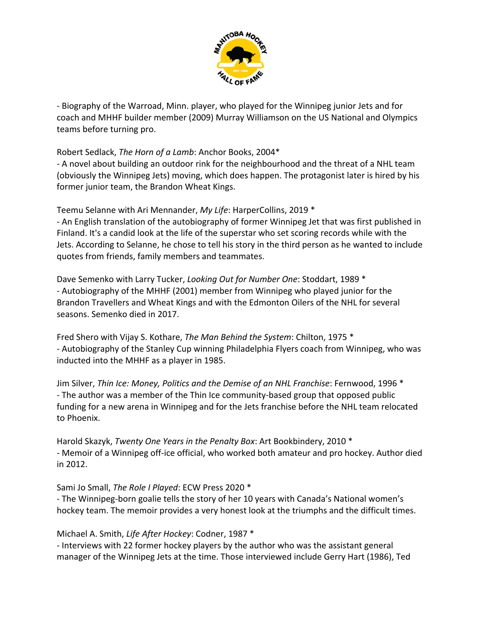

‐ Biography of the Warroad, Minn. player, who played for the Winnipeg junior Jets and for coach and MHHF builder member (2009) Murray Williamson on the US National and Olympics teams before turning pro.

Robert Sedlack, *The Horn of a Lamb*: Anchor Books, 2004\*

‐ A novel about building an outdoor rink for the neighbourhood and the threat of a NHL team (obviously the Winnipeg Jets) moving, which does happen. The protagonist later is hired by his former junior team, the Brandon Wheat Kings.

Teemu Selanne with Ari Mennander, *My Life*: HarperCollins, 2019 \*

‐ An English translation of the autobiography of former Winnipeg Jet that was first published in Finland. It's a candid look at the life of the superstar who set scoring records while with the Jets. According to Selanne, he chose to tell his story in the third person as he wanted to include quotes from friends, family members and teammates.

Dave Semenko with Larry Tucker, *Looking Out for Number One*: Stoddart, 1989 \* ‐ Autobiography of the MHHF (2001) member from Winnipeg who played junior for the Brandon Travellers and Wheat Kings and with the Edmonton Oilers of the NHL for several seasons. Semenko died in 2017.

Fred Shero with Vijay S. Kothare, *The Man Behind the System*: Chilton, 1975 \* ‐ Autobiography of the Stanley Cup winning Philadelphia Flyers coach from Winnipeg, who was inducted into the MHHF as a player in 1985.

Jim Silver, *Thin Ice: Money, Politics and the Demise of an NHL Franchise*: Fernwood, 1996 \* ‐ The author was a member of the Thin Ice community‐based group that opposed public funding for a new arena in Winnipeg and for the Jets franchise before the NHL team relocated to Phoenix.

Harold Skazyk, *Twenty One Years in the Penalty Box*: Art Bookbindery, 2010 \* ‐ Memoir of a Winnipeg off‐ice official, who worked both amateur and pro hockey. Author died in 2012.

Sami Jo Small, *The Role I Played*: ECW Press 2020 \*

‐ The Winnipeg‐born goalie tells the story of her 10 years with Canada's National women's hockey team. The memoir provides a very honest look at the triumphs and the difficult times.

Michael A. Smith, *Life After Hockey*: Codner, 1987 \*

‐ Interviews with 22 former hockey players by the author who was the assistant general manager of the Winnipeg Jets at the time. Those interviewed include Gerry Hart (1986), Ted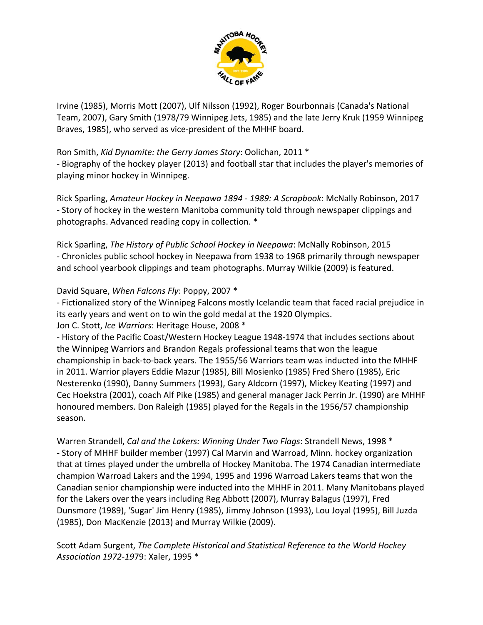

Irvine (1985), Morris Mott (2007), Ulf Nilsson (1992), Roger Bourbonnais (Canada's National Team, 2007), Gary Smith (1978/79 Winnipeg Jets, 1985) and the late Jerry Kruk (1959 Winnipeg Braves, 1985), who served as vice‐president of the MHHF board.

### Ron Smith, *Kid Dynamite: the Gerry James Story*: Oolichan, 2011 \*

‐ Biography of the hockey player (2013) and football star that includes the player's memories of playing minor hockey in Winnipeg.

Rick Sparling, *Amateur Hockey in Neepawa 1894 ‐ 1989: A Scrapbook*: McNally Robinson, 2017 ‐ Story of hockey in the western Manitoba community told through newspaper clippings and photographs. Advanced reading copy in collection. \*

Rick Sparling, *The History of Public School Hockey in Neepawa*: McNally Robinson, 2015 ‐ Chronicles public school hockey in Neepawa from 1938 to 1968 primarily through newspaper and school yearbook clippings and team photographs. Murray Wilkie (2009) is featured.

David Square, *When Falcons Fly*: Poppy, 2007 \*

‐ Fictionalized story of the Winnipeg Falcons mostly Icelandic team that faced racial prejudice in its early years and went on to win the gold medal at the 1920 Olympics.

Jon C. Stott, *Ice Warriors*: Heritage House, 2008 \*

‐ History of the Pacific Coast/Western Hockey League 1948‐1974 that includes sections about the Winnipeg Warriors and Brandon Regals professional teams that won the league championship in back‐to‐back years. The 1955/56 Warriors team was inducted into the MHHF in 2011. Warrior players Eddie Mazur (1985), Bill Mosienko (1985) Fred Shero (1985), Eric Nesterenko (1990), Danny Summers (1993), Gary Aldcorn (1997), Mickey Keating (1997) and Cec Hoekstra (2001), coach Alf Pike (1985) and general manager Jack Perrin Jr. (1990) are MHHF honoured members. Don Raleigh (1985) played for the Regals in the 1956/57 championship season.

Warren Strandell, *Cal and the Lakers: Winning Under Two Flags*: Strandell News, 1998 \* ‐ Story of MHHF builder member (1997) Cal Marvin and Warroad, Minn. hockey organization that at times played under the umbrella of Hockey Manitoba. The 1974 Canadian intermediate champion Warroad Lakers and the 1994, 1995 and 1996 Warroad Lakers teams that won the Canadian senior championship were inducted into the MHHF in 2011. Many Manitobans played for the Lakers over the years including Reg Abbott (2007), Murray Balagus (1997), Fred Dunsmore (1989), 'Sugar' Jim Henry (1985), Jimmy Johnson (1993), Lou Joyal (1995), Bill Juzda (1985), Don MacKenzie (2013) and Murray Wilkie (2009).

Scott Adam Surgent, *The Complete Historical and Statistical Reference to the World Hockey Association 1972‐19*79: Xaler, 1995 \*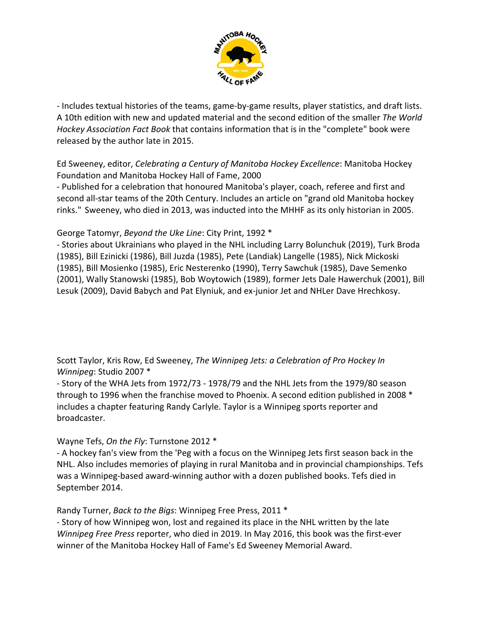

‐ Includes textual histories of the teams, game‐by‐game results, player statistics, and draft lists. A 10th edition with new and updated material and the second edition of the smaller *The World Hockey Association Fact Book* that contains information that is in the "complete" book were released by the author late in 2015.

Ed Sweeney, editor, *Celebrating a Century of Manitoba Hockey Excellence*: Manitoba Hockey Foundation and Manitoba Hockey Hall of Fame, 2000

‐ Published for a celebration that honoured Manitoba's player, coach, referee and first and second all-star teams of the 20th Century. Includes an article on "grand old Manitoba hockey rinks." Sweeney, who died in 2013, was inducted into the MHHF as its only historian in 2005.

George Tatomyr, *Beyond the Uke Line*: City Print, 1992 \*

‐ Stories about Ukrainians who played in the NHL including Larry Bolunchuk (2019), Turk Broda (1985), Bill Ezinicki (1986), Bill Juzda (1985), Pete (Landiak) Langelle (1985), Nick Mickoski (1985), Bill Mosienko (1985), Eric Nesterenko (1990), Terry Sawchuk (1985), Dave Semenko (2001), Wally Stanowski (1985), Bob Woytowich (1989), former Jets Dale Hawerchuk (2001), Bill Lesuk (2009), David Babych and Pat Elyniuk, and ex‐junior Jet and NHLer Dave Hrechkosy.

Scott Taylor, Kris Row, Ed Sweeney, *The Winnipeg Jets: a Celebration of Pro Hockey In Winnipeg*: Studio 2007 \*

‐ Story of the WHA Jets from 1972/73 ‐ 1978/79 and the NHL Jets from the 1979/80 season through to 1996 when the franchise moved to Phoenix. A second edition published in 2008 \* includes a chapter featuring Randy Carlyle. Taylor is a Winnipeg sports reporter and broadcaster.

Wayne Tefs, *On the Fly*: Turnstone 2012 \*

‐ A hockey fan's view from the 'Peg with a focus on the Winnipeg Jets first season back in the NHL. Also includes memories of playing in rural Manitoba and in provincial championships. Tefs was a Winnipeg‐based award‐winning author with a dozen published books. Tefs died in September 2014.

Randy Turner, *Back to the Bigs*: Winnipeg Free Press, 2011 \*

‐ Story of how Winnipeg won, lost and regained its place in the NHL written by the late *Winnipeg Free Press* reporter, who died in 2019. In May 2016, this book was the first‐ever winner of the Manitoba Hockey Hall of Fame's Ed Sweeney Memorial Award.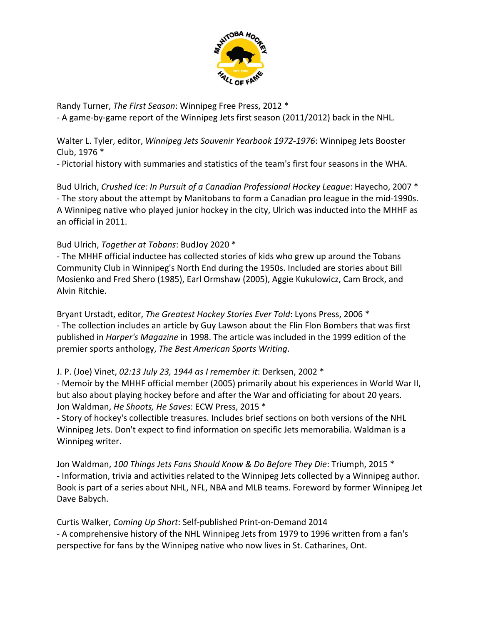

Randy Turner, *The First Season*: Winnipeg Free Press, 2012 \* ‐ A game‐by‐game report of the Winnipeg Jets first season (2011/2012) back in the NHL.

Walter L. Tyler, editor, *Winnipeg Jets Souvenir Yearbook 1972‐1976*: Winnipeg Jets Booster Club, 1976 \*

‐ Pictorial history with summaries and statistics of the team's first four seasons in the WHA.

Bud Ulrich, *Crushed Ice: In Pursuit of a Canadian Professional Hockey League*: Hayecho, 2007 \* ‐ The story about the attempt by Manitobans to form a Canadian pro league in the mid‐1990s. A Winnipeg native who played junior hockey in the city, Ulrich was inducted into the MHHF as an official in 2011.

Bud Ulrich, *Together at Tobans*: BudJoy 2020 \*

‐ The MHHF official inductee has collected stories of kids who grew up around the Tobans Community Club in Winnipeg's North End during the 1950s. Included are stories about Bill Mosienko and Fred Shero (1985), Earl Ormshaw (2005), Aggie Kukulowicz, Cam Brock, and Alvin Ritchie.

Bryant Urstadt, editor, *The Greatest Hockey Stories Ever Told*: Lyons Press, 2006 \* ‐ The collection includes an article by Guy Lawson about the Flin Flon Bombers that was first published in *Harper's Magazine* in 1998. The article was included in the 1999 edition of the premier sports anthology, *The Best American Sports Writing*.

J. P. (Joe) Vinet, *02:13 July 23, 1944 as I remember it*: Derksen, 2002 \*

‐ Memoir by the MHHF official member (2005) primarily about his experiences in World War II, but also about playing hockey before and after the War and officiating for about 20 years. Jon Waldman, *He Shoots, He Saves*: ECW Press, 2015 \*

‐ Story of hockey's collectible treasures. Includes brief sections on both versions of the NHL Winnipeg Jets. Don't expect to find information on specific Jets memorabilia. Waldman is a Winnipeg writer.

Jon Waldman, *100 Things Jets Fans Should Know & Do Before They Die*: Triumph, 2015 \* ‐ Information, trivia and activities related to the Winnipeg Jets collected by a Winnipeg author. Book is part of a series about NHL, NFL, NBA and MLB teams. Foreword by former Winnipeg Jet Dave Babych.

Curtis Walker, *Coming Up Short*: Self‐published Print‐on‐Demand 2014 ‐ A comprehensive history of the NHL Winnipeg Jets from 1979 to 1996 written from a fan's perspective for fans by the Winnipeg native who now lives in St. Catharines, Ont.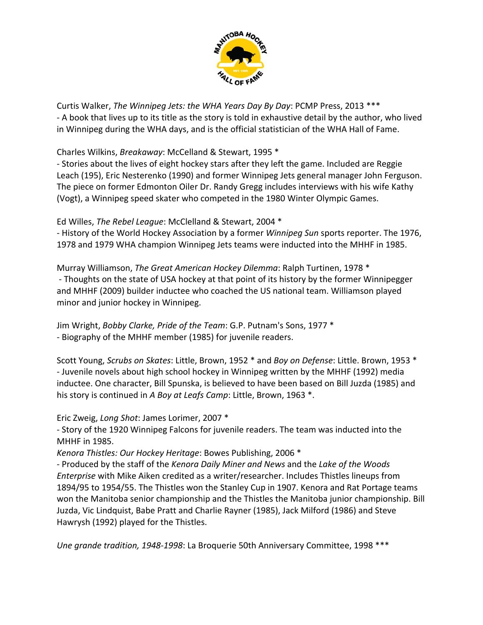

Curtis Walker, *The Winnipeg Jets: the WHA Years Day By Day*: PCMP Press, 2013 \*\*\* ‐ A book that lives up to its title as the story is told in exhaustive detail by the author, who lived in Winnipeg during the WHA days, and is the official statistician of the WHA Hall of Fame.

Charles Wilkins, *Breakaway*: McCelland & Stewart, 1995 \*

‐ Stories about the lives of eight hockey stars after they left the game. Included are Reggie Leach (195), Eric Nesterenko (1990) and former Winnipeg Jets general manager John Ferguson. The piece on former Edmonton Oiler Dr. Randy Gregg includes interviews with his wife Kathy (Vogt), a Winnipeg speed skater who competed in the 1980 Winter Olympic Games.

Ed Willes, *The Rebel League*: McClelland & Stewart, 2004 \*

‐ History of the World Hockey Association by a former *Winnipeg Sun* sports reporter. The 1976, 1978 and 1979 WHA champion Winnipeg Jets teams were inducted into the MHHF in 1985.

Murray Williamson, *The Great American Hockey Dilemma*: Ralph Turtinen, 1978 \* ‐ Thoughts on the state of USA hockey at that point of its history by the former Winnipegger and MHHF (2009) builder inductee who coached the US national team. Williamson played minor and junior hockey in Winnipeg.

Jim Wright, *Bobby Clarke, Pride of the Team*: G.P. Putnam's Sons, 1977 \* ‐ Biography of the MHHF member (1985) for juvenile readers.

Scott Young, *Scrubs on Skates*: Little, Brown, 1952 \* and *Boy on Defense*: Little. Brown, 1953 \* ‐ Juvenile novels about high school hockey in Winnipeg written by the MHHF (1992) media inductee. One character, Bill Spunska, is believed to have been based on Bill Juzda (1985) and his story is continued in *A Boy at Leafs Camp*: Little, Brown, 1963 \*.

Eric Zweig, *Long Shot*: James Lorimer, 2007 \*

‐ Story of the 1920 Winnipeg Falcons for juvenile readers. The team was inducted into the MHHF in 1985.

*Kenora Thistles: Our Hockey Heritage*: Bowes Publishing, 2006 \*

‐ Produced by the staff of the *Kenora Daily Miner and News* and the *Lake of the Woods Enterprise* with Mike Aiken credited as a writer/researcher. Includes Thistles lineups from 1894/95 to 1954/55. The Thistles won the Stanley Cup in 1907. Kenora and Rat Portage teams won the Manitoba senior championship and the Thistles the Manitoba junior championship. Bill Juzda, Vic Lindquist, Babe Pratt and Charlie Rayner (1985), Jack Milford (1986) and Steve Hawrysh (1992) played for the Thistles.

*Une grande tradition, 1948‐1998*: La Broquerie 50th Anniversary Committee, 1998 \*\*\*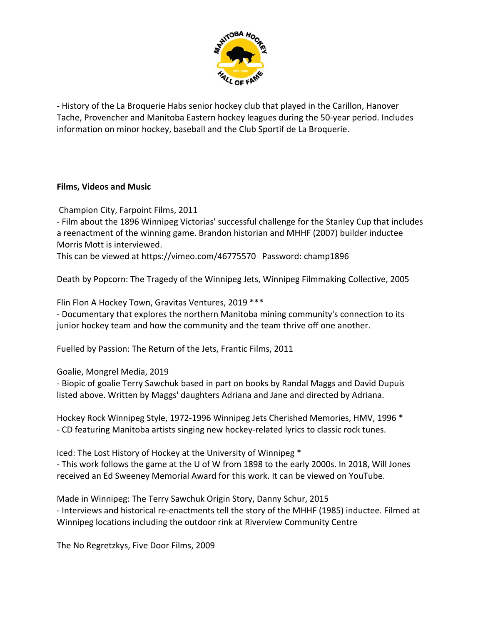

‐ History of the La Broquerie Habs senior hockey club that played in the Carillon, Hanover Tache, Provencher and Manitoba Eastern hockey leagues during the 50‐year period. Includes information on minor hockey, baseball and the Club Sportif de La Broquerie.

### **Films, Videos and Music**

Champion City, Farpoint Films, 2011

‐ Film about the 1896 Winnipeg Victorias' successful challenge for the Stanley Cup that includes a reenactment of the winning game. Brandon historian and MHHF (2007) builder inductee Morris Mott is interviewed.

This can be viewed at https://vimeo.com/46775570 Password: champ1896

Death by Popcorn: The Tragedy of the Winnipeg Jets, Winnipeg Filmmaking Collective, 2005

Flin Flon A Hockey Town, Gravitas Ventures, 2019 \*\*\*

‐ Documentary that explores the northern Manitoba mining community's connection to its junior hockey team and how the community and the team thrive off one another.

Fuelled by Passion: The Return of the Jets, Frantic Films, 2011

Goalie, Mongrel Media, 2019

‐ Biopic of goalie Terry Sawchuk based in part on books by Randal Maggs and David Dupuis listed above. Written by Maggs' daughters Adriana and Jane and directed by Adriana.

Hockey Rock Winnipeg Style, 1972‐1996 Winnipeg Jets Cherished Memories, HMV, 1996 \* ‐ CD featuring Manitoba artists singing new hockey‐related lyrics to classic rock tunes.

Iced: The Lost History of Hockey at the University of Winnipeg \*

‐ This work follows the game at the U of W from 1898 to the early 2000s. In 2018, Will Jones received an Ed Sweeney Memorial Award for this work. It can be viewed on YouTube.

Made in Winnipeg: The Terry Sawchuk Origin Story, Danny Schur, 2015 ‐ Interviews and historical re‐enactments tell the story of the MHHF (1985) inductee. Filmed at Winnipeg locations including the outdoor rink at Riverview Community Centre

The No Regretzkys, Five Door Films, 2009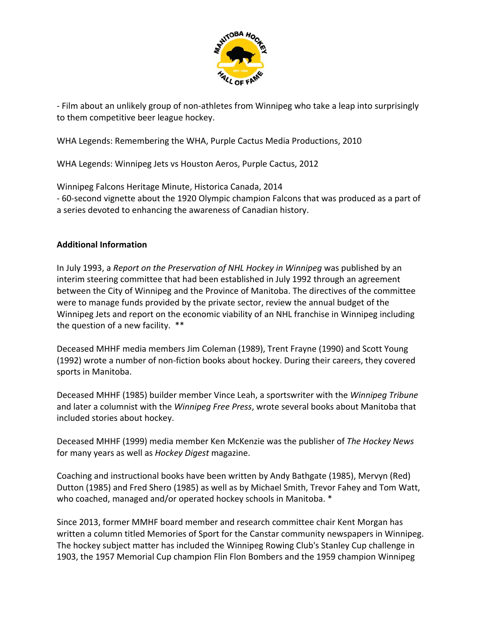

‐ Film about an unlikely group of non‐athletes from Winnipeg who take a leap into surprisingly to them competitive beer league hockey.

WHA Legends: Remembering the WHA, Purple Cactus Media Productions, 2010

WHA Legends: Winnipeg Jets vs Houston Aeros, Purple Cactus, 2012

Winnipeg Falcons Heritage Minute, Historica Canada, 2014

‐ 60‐second vignette about the 1920 Olympic champion Falcons that was produced as a part of a series devoted to enhancing the awareness of Canadian history.

### **Additional Information**

In July 1993, a *Report on the Preservation of NHL Hockey in Winnipeg* was published by an interim steering committee that had been established in July 1992 through an agreement between the City of Winnipeg and the Province of Manitoba. The directives of the committee were to manage funds provided by the private sector, review the annual budget of the Winnipeg Jets and report on the economic viability of an NHL franchise in Winnipeg including the question of a new facility. \*\*

Deceased MHHF media members Jim Coleman (1989), Trent Frayne (1990) and Scott Young (1992) wrote a number of non‐fiction books about hockey. During their careers, they covered sports in Manitoba.

Deceased MHHF (1985) builder member Vince Leah, a sportswriter with the *Winnipeg Tribune* and later a columnist with the *Winnipeg Free Press*, wrote several books about Manitoba that included stories about hockey.

Deceased MHHF (1999) media member Ken McKenzie was the publisher of *The Hockey News* for many years as well as *Hockey Digest* magazine.

Coaching and instructional books have been written by Andy Bathgate (1985), Mervyn (Red) Dutton (1985) and Fred Shero (1985) as well as by Michael Smith, Trevor Fahey and Tom Watt, who coached, managed and/or operated hockey schools in Manitoba. \*

Since 2013, former MMHF board member and research committee chair Kent Morgan has written a column titled Memories of Sport for the Canstar community newspapers in Winnipeg. The hockey subject matter has included the Winnipeg Rowing Club's Stanley Cup challenge in 1903, the 1957 Memorial Cup champion Flin Flon Bombers and the 1959 champion Winnipeg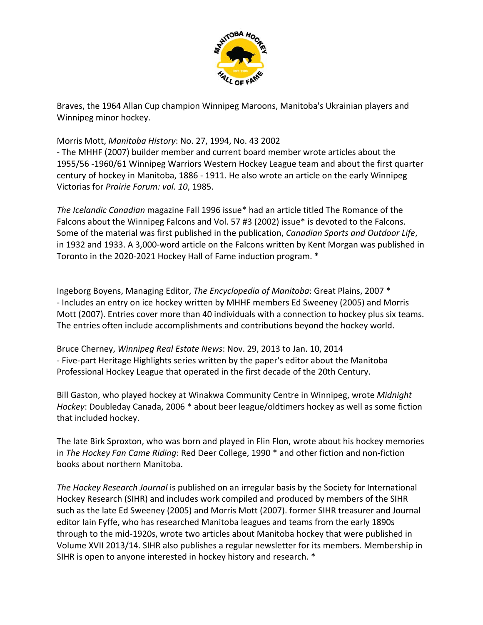

Braves, the 1964 Allan Cup champion Winnipeg Maroons, Manitoba's Ukrainian players and Winnipeg minor hockey.

### Morris Mott, *Manitoba History*: No. 27, 1994, No. 43 2002

‐ The MHHF (2007) builder member and current board member wrote articles about the 1955/56 ‐1960/61 Winnipeg Warriors Western Hockey League team and about the first quarter century of hockey in Manitoba, 1886 ‐ 1911. He also wrote an article on the early Winnipeg Victorias for *Prairie Forum: vol. 10*, 1985.

*The Icelandic Canadian* magazine Fall 1996 issue\* had an article titled The Romance of the Falcons about the Winnipeg Falcons and Vol. 57 #3 (2002) issue\* is devoted to the Falcons. Some of the material was first published in the publication, *Canadian Sports and Outdoor Life*, in 1932 and 1933. A 3,000‐word article on the Falcons written by Kent Morgan was published in Toronto in the 2020‐2021 Hockey Hall of Fame induction program. \*

Ingeborg Boyens, Managing Editor, *The Encyclopedia of Manitoba*: Great Plains, 2007 \* ‐ Includes an entry on ice hockey written by MHHF members Ed Sweeney (2005) and Morris Mott (2007). Entries cover more than 40 individuals with a connection to hockey plus six teams. The entries often include accomplishments and contributions beyond the hockey world.

Bruce Cherney, *Winnipeg Real Estate News*: Nov. 29, 2013 to Jan. 10, 2014 ‐ Five‐part Heritage Highlights series written by the paper's editor about the Manitoba Professional Hockey League that operated in the first decade of the 20th Century.

Bill Gaston, who played hockey at Winakwa Community Centre in Winnipeg, wrote *Midnight Hockey*: Doubleday Canada, 2006 \* about beer league/oldtimers hockey as well as some fiction that included hockey.

The late Birk Sproxton, who was born and played in Flin Flon, wrote about his hockey memories in *The Hockey Fan Came Riding*: Red Deer College, 1990 \* and other fiction and non‐fiction books about northern Manitoba.

*The Hockey Research Journal* is published on an irregular basis by the Society for International Hockey Research (SIHR) and includes work compiled and produced by members of the SIHR such as the late Ed Sweeney (2005) and Morris Mott (2007). former SIHR treasurer and Journal editor Iain Fyffe, who has researched Manitoba leagues and teams from the early 1890s through to the mid‐1920s, wrote two articles about Manitoba hockey that were published in Volume XVII 2013/14. SIHR also publishes a regular newsletter for its members. Membership in SIHR is open to anyone interested in hockey history and research. \*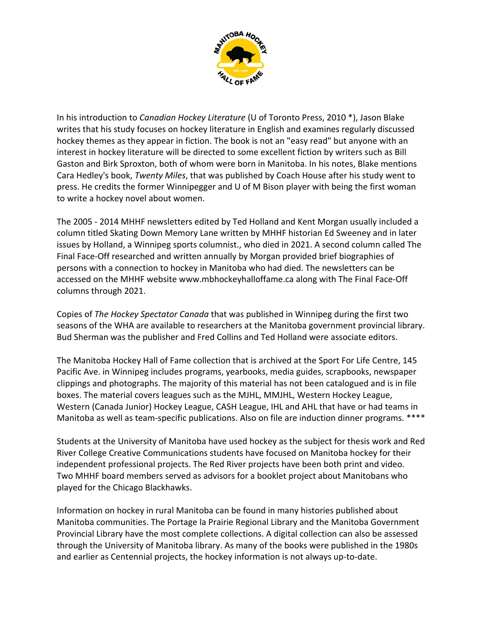

In his introduction to *Canadian Hockey Literature* (U of Toronto Press, 2010 \*), Jason Blake writes that his study focuses on hockey literature in English and examines regularly discussed hockey themes as they appear in fiction. The book is not an "easy read" but anyone with an interest in hockey literature will be directed to some excellent fiction by writers such as Bill Gaston and Birk Sproxton, both of whom were born in Manitoba. In his notes, Blake mentions Cara Hedley's book, *Twenty Miles*, that was published by Coach House after his study went to press. He credits the former Winnipegger and U of M Bison player with being the first woman to write a hockey novel about women.

The 2005 ‐ 2014 MHHF newsletters edited by Ted Holland and Kent Morgan usually included a column titled Skating Down Memory Lane written by MHHF historian Ed Sweeney and in later issues by Holland, a Winnipeg sports columnist., who died in 2021. A second column called The Final Face‐Off researched and written annually by Morgan provided brief biographies of persons with a connection to hockey in Manitoba who had died. The newsletters can be accessed on the MHHF website www.mbhockeyhalloffame.ca along with The Final Face-Off columns through 2021.

Copies of *The Hockey Spectator Canada* that was published in Winnipeg during the first two seasons of the WHA are available to researchers at the Manitoba government provincial library. Bud Sherman was the publisher and Fred Collins and Ted Holland were associate editors.

The Manitoba Hockey Hall of Fame collection that is archived at the Sport For Life Centre, 145 Pacific Ave. in Winnipeg includes programs, yearbooks, media guides, scrapbooks, newspaper clippings and photographs. The majority of this material has not been catalogued and is in file boxes. The material covers leagues such as the MJHL, MMJHL, Western Hockey League, Western (Canada Junior) Hockey League, CASH League, IHL and AHL that have or had teams in Manitoba as well as team-specific publications. Also on file are induction dinner programs. \*\*\*\*

Students at the University of Manitoba have used hockey as the subject for thesis work and Red River College Creative Communications students have focused on Manitoba hockey for their independent professional projects. The Red River projects have been both print and video. Two MHHF board members served as advisors for a booklet project about Manitobans who played for the Chicago Blackhawks.

Information on hockey in rural Manitoba can be found in many histories published about Manitoba communities. The Portage la Prairie Regional Library and the Manitoba Government Provincial Library have the most complete collections. A digital collection can also be assessed through the University of Manitoba library. As many of the books were published in the 1980s and earlier as Centennial projects, the hockey information is not always up‐to‐date.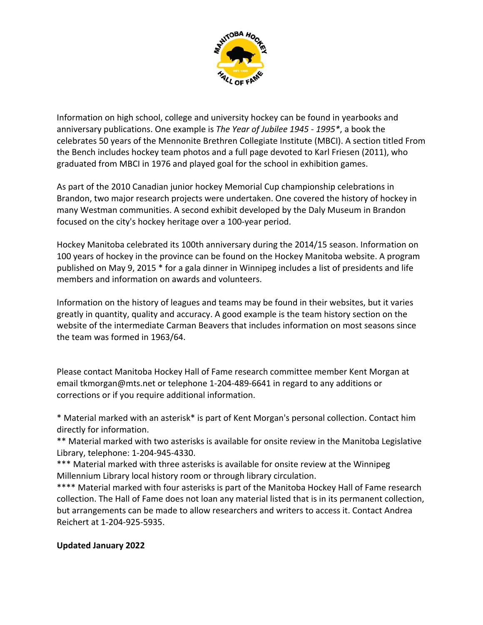

Information on high school, college and university hockey can be found in yearbooks and anniversary publications. One example is *The Year of Jubilee 1945 ‐ 1995\**, a book the celebrates 50 years of the Mennonite Brethren Collegiate Institute (MBCI). A section titled From the Bench includes hockey team photos and a full page devoted to Karl Friesen (2011), who graduated from MBCI in 1976 and played goal for the school in exhibition games.

As part of the 2010 Canadian junior hockey Memorial Cup championship celebrations in Brandon, two major research projects were undertaken. One covered the history of hockey in many Westman communities. A second exhibit developed by the Daly Museum in Brandon focused on the city's hockey heritage over a 100‐year period.

Hockey Manitoba celebrated its 100th anniversary during the 2014/15 season. Information on 100 years of hockey in the province can be found on the Hockey Manitoba website. A program published on May 9, 2015 \* for a gala dinner in Winnipeg includes a list of presidents and life members and information on awards and volunteers.

Information on the history of leagues and teams may be found in their websites, but it varies greatly in quantity, quality and accuracy. A good example is the team history section on the website of the intermediate Carman Beavers that includes information on most seasons since the team was formed in 1963/64.

Please contact Manitoba Hockey Hall of Fame research committee member Kent Morgan at email tkmorgan@mts.net or telephone 1‐204‐489‐6641 in regard to any additions or corrections or if you require additional information.

\* Material marked with an asterisk\* is part of Kent Morgan's personal collection. Contact him directly for information.

\*\* Material marked with two asterisks is available for onsite review in the Manitoba Legislative Library, telephone: 1‐204‐945‐4330.

\*\*\* Material marked with three asterisks is available for onsite review at the Winnipeg Millennium Library local history room or through library circulation.

\*\*\*\* Material marked with four asterisks is part of the Manitoba Hockey Hall of Fame research collection. The Hall of Fame does not loan any material listed that is in its permanent collection, but arrangements can be made to allow researchers and writers to access it. Contact Andrea Reichert at 1‐204‐925‐5935.

# **Updated January 2022**